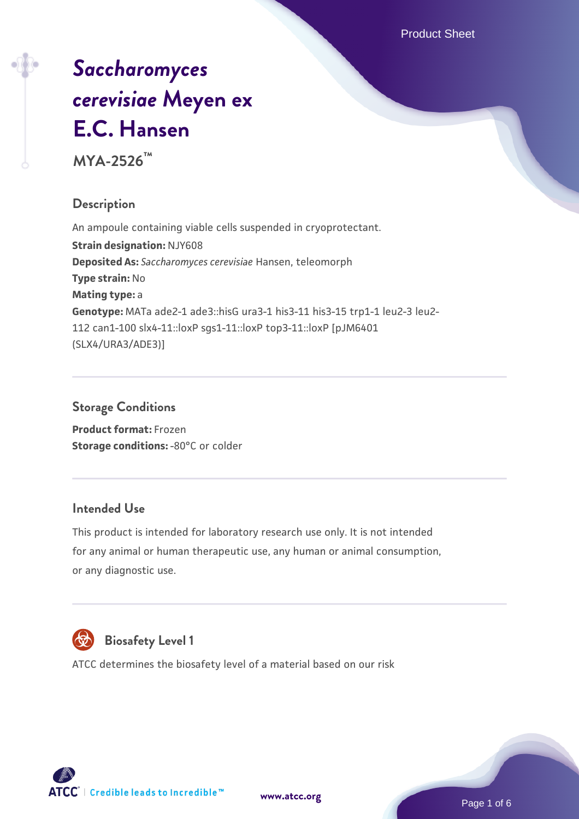Product Sheet

# *[Saccharomyces](https://www.atcc.org/products/mya-2526) [cerevisiae](https://www.atcc.org/products/mya-2526)* **[Meyen ex](https://www.atcc.org/products/mya-2526) [E.C. Hansen](https://www.atcc.org/products/mya-2526)**

**MYA-2526™**

# **Description**

An ampoule containing viable cells suspended in cryoprotectant. **Strain designation:** NJY608 **Deposited As:** *Saccharomyces cerevisiae* Hansen, teleomorph **Type strain:** No **Mating type:** a **Genotype:** MATa ade2-1 ade3::hisG ura3-1 his3-11 his3-15 trp1-1 leu2-3 leu2- 112 can1-100 slx4-11::loxP sgs1-11::loxP top3-11::loxP [pJM6401 (SLX4/URA3/ADE3)]

### **Storage Conditions**

**Product format:** Frozen **Storage conditions: -80°C or colder** 

# **Intended Use**

This product is intended for laboratory research use only. It is not intended for any animal or human therapeutic use, any human or animal consumption, or any diagnostic use.



# **Biosafety Level 1**

ATCC determines the biosafety level of a material based on our risk



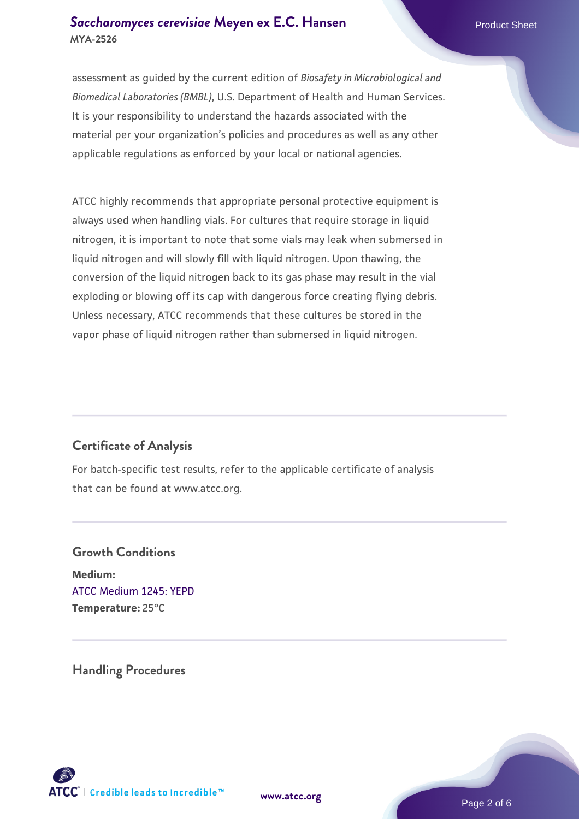### **[Saccharomyces cerevisiae](https://www.atcc.org/products/mya-2526)** [Meyen ex E.C. Hansen](https://www.atcc.org/products/mya-2526) **MYA-2526**

assessment as guided by the current edition of *Biosafety in Microbiological and Biomedical Laboratories (BMBL)*, U.S. Department of Health and Human Services. It is your responsibility to understand the hazards associated with the material per your organization's policies and procedures as well as any other applicable regulations as enforced by your local or national agencies.

ATCC highly recommends that appropriate personal protective equipment is always used when handling vials. For cultures that require storage in liquid nitrogen, it is important to note that some vials may leak when submersed in liquid nitrogen and will slowly fill with liquid nitrogen. Upon thawing, the conversion of the liquid nitrogen back to its gas phase may result in the vial exploding or blowing off its cap with dangerous force creating flying debris. Unless necessary, ATCC recommends that these cultures be stored in the vapor phase of liquid nitrogen rather than submersed in liquid nitrogen.

## **Certificate of Analysis**

For batch-specific test results, refer to the applicable certificate of analysis that can be found at www.atcc.org.

# **Growth Conditions Medium:**  [ATCC Medium 1245: YEPD](https://www.atcc.org/-/media/product-assets/documents/microbial-media-formulations/1/2/4/5/atcc-medium-1245.pdf?rev=705ca55d1b6f490a808a965d5c072196) **Temperature:** 25°C

**Handling Procedures**





Page 2 of 6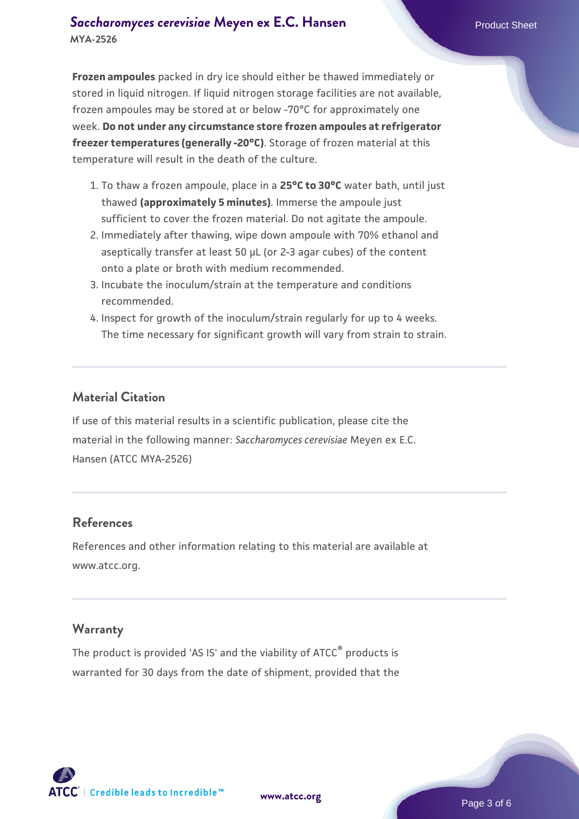### **[Saccharomyces cerevisiae](https://www.atcc.org/products/mya-2526)** [Meyen ex E.C. Hansen](https://www.atcc.org/products/mya-2526) **MYA-2526**

**Frozen ampoules** packed in dry ice should either be thawed immediately or stored in liquid nitrogen. If liquid nitrogen storage facilities are not available, frozen ampoules may be stored at or below -70°C for approximately one week. **Do not under any circumstance store frozen ampoules at refrigerator freezer temperatures (generally -20°C)**. Storage of frozen material at this temperature will result in the death of the culture.

- 1. To thaw a frozen ampoule, place in a **25°C to 30°C** water bath, until just thawed **(approximately 5 minutes)**. Immerse the ampoule just sufficient to cover the frozen material. Do not agitate the ampoule.
- 2. Immediately after thawing, wipe down ampoule with 70% ethanol and aseptically transfer at least 50 µL (or 2-3 agar cubes) of the content onto a plate or broth with medium recommended.
- Incubate the inoculum/strain at the temperature and conditions 3. recommended.
- 4. Inspect for growth of the inoculum/strain regularly for up to 4 weeks. The time necessary for significant growth will vary from strain to strain.

#### **Material Citation**

If use of this material results in a scientific publication, please cite the material in the following manner: *Saccharomyces cerevisiae* Meyen ex E.C. Hansen (ATCC MYA-2526)

#### **References**

References and other information relating to this material are available at www.atcc.org.

#### **Warranty**

The product is provided 'AS IS' and the viability of ATCC® products is warranted for 30 days from the date of shipment, provided that the

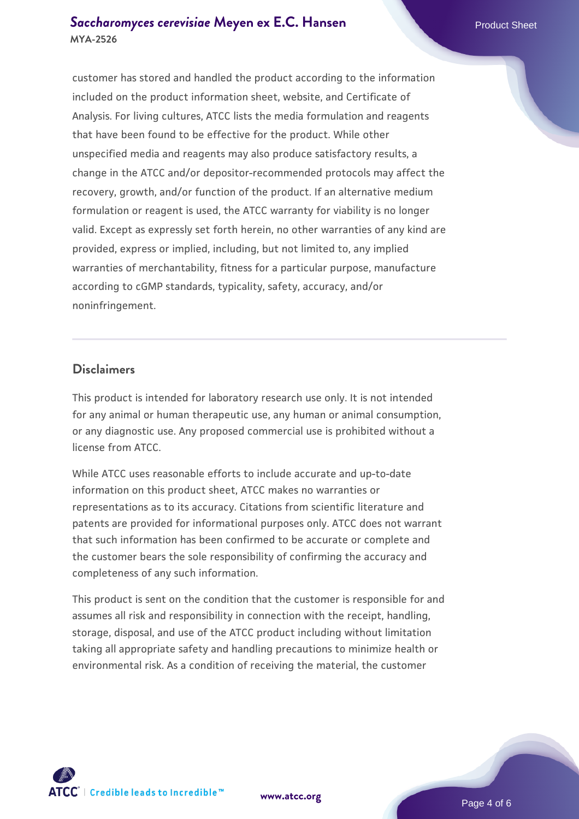#### **[Saccharomyces cerevisiae](https://www.atcc.org/products/mya-2526)** [Meyen ex E.C. Hansen](https://www.atcc.org/products/mya-2526) **MYA-2526**

customer has stored and handled the product according to the information included on the product information sheet, website, and Certificate of Analysis. For living cultures, ATCC lists the media formulation and reagents that have been found to be effective for the product. While other unspecified media and reagents may also produce satisfactory results, a change in the ATCC and/or depositor-recommended protocols may affect the recovery, growth, and/or function of the product. If an alternative medium formulation or reagent is used, the ATCC warranty for viability is no longer valid. Except as expressly set forth herein, no other warranties of any kind are provided, express or implied, including, but not limited to, any implied warranties of merchantability, fitness for a particular purpose, manufacture according to cGMP standards, typicality, safety, accuracy, and/or noninfringement.

#### **Disclaimers**

This product is intended for laboratory research use only. It is not intended for any animal or human therapeutic use, any human or animal consumption, or any diagnostic use. Any proposed commercial use is prohibited without a license from ATCC.

While ATCC uses reasonable efforts to include accurate and up-to-date information on this product sheet, ATCC makes no warranties or representations as to its accuracy. Citations from scientific literature and patents are provided for informational purposes only. ATCC does not warrant that such information has been confirmed to be accurate or complete and the customer bears the sole responsibility of confirming the accuracy and completeness of any such information.

This product is sent on the condition that the customer is responsible for and assumes all risk and responsibility in connection with the receipt, handling, storage, disposal, and use of the ATCC product including without limitation taking all appropriate safety and handling precautions to minimize health or environmental risk. As a condition of receiving the material, the customer



**[www.atcc.org](http://www.atcc.org)**

Page 4 of 6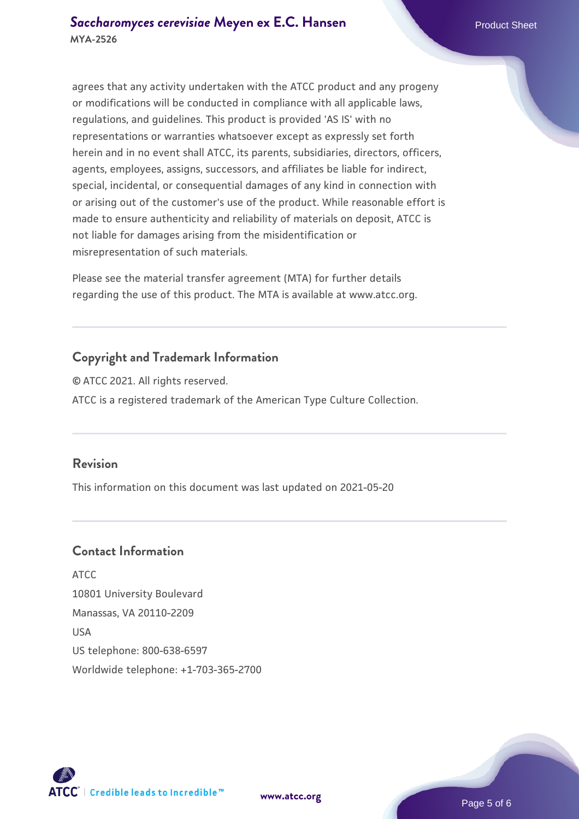agrees that any activity undertaken with the ATCC product and any progeny or modifications will be conducted in compliance with all applicable laws, regulations, and guidelines. This product is provided 'AS IS' with no representations or warranties whatsoever except as expressly set forth herein and in no event shall ATCC, its parents, subsidiaries, directors, officers, agents, employees, assigns, successors, and affiliates be liable for indirect, special, incidental, or consequential damages of any kind in connection with or arising out of the customer's use of the product. While reasonable effort is made to ensure authenticity and reliability of materials on deposit, ATCC is not liable for damages arising from the misidentification or misrepresentation of such materials.

Please see the material transfer agreement (MTA) for further details regarding the use of this product. The MTA is available at www.atcc.org.

## **Copyright and Trademark Information**

© ATCC 2021. All rights reserved. ATCC is a registered trademark of the American Type Culture Collection.

#### **Revision**

This information on this document was last updated on 2021-05-20

## **Contact Information**

ATCC 10801 University Boulevard Manassas, VA 20110-2209 USA US telephone: 800-638-6597 Worldwide telephone: +1-703-365-2700